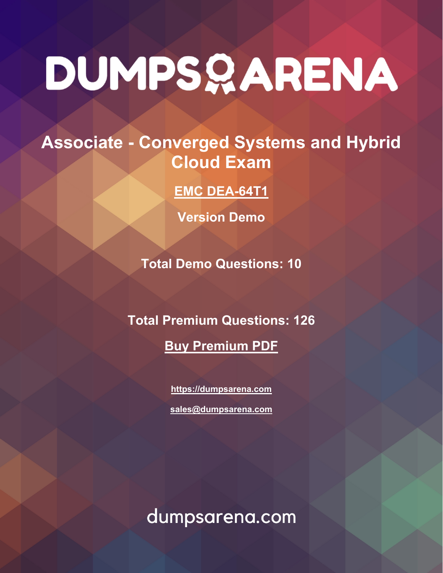# DUMPSQARENA

## **Associate - Converged Systems and Hybrid Cloud Exam**

**[EMC DEA-64T1](https://dumpsarena.com/exam/dea-64t1/)**

**Version Demo**

**Total Demo Questions: 10**

**Total Premium Questions: 126**

**[Buy Premium PDF](https://dumpsarena.com/exam/dea-64t1/)**

**[https://dumpsarena.com](https://dumpsarena.com/) [sales@dumpsarena.com](mailto:sales@dumpsarena.com)**

dumpsarena.com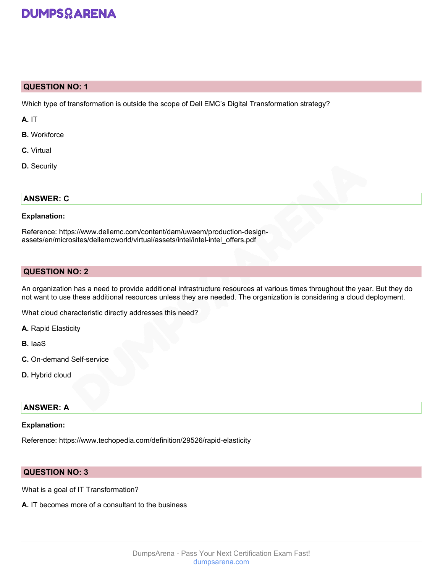

#### **QUESTION NO: 1**

Which type of transformation is outside the scope of Dell EMC's Digital Transformation strategy?

**A.** IT

- **B.** Workforce
- **C.** Virtual
- **D.** Security

#### **ANSWER: C**

#### **Explanation:**

Reference: https://www.dellemc.com/content/dam/uwaem/production-designassets/en/microsites/dellemcworld/virtual/assets/intel/intel-intel\_offers.pdf

#### **QUESTION NO: 2**

An organization has a need to provide additional infrastructure resources at various times throughout the year. But they do not want to use these additional resources unless they are needed. The organization is considering a cloud deployment.

What cloud characteristic directly addresses this need?

**A.** Rapid Elasticity

**B.** IaaS

- **C.** On-demand Self-service
- **D.** Hybrid cloud

#### **ANSWER: A**

#### **Explanation:**

Reference: https://www.techopedia.com/definition/29526/rapid-elasticity

#### **QUESTION NO: 3**

What is a goal of IT Transformation?

**A.** IT becomes more of a consultant to the business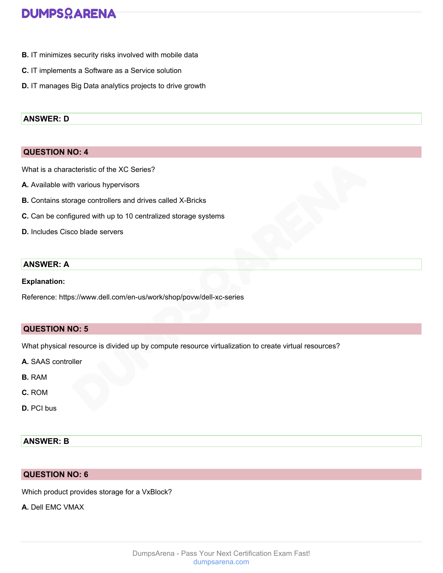## **DUMPSOARENA**

- **B.** IT minimizes security risks involved with mobile data
- **C.** IT implements a Software as a Service solution
- **D.** IT manages Big Data analytics projects to drive growth

#### **ANSWER: D**

#### **QUESTION NO: 4**

What is a characteristic of the XC Series?

- **A.** Available with various hypervisors
- **B.** Contains storage controllers and drives called X-Bricks
- **C.** Can be configured with up to 10 centralized storage systems
- **D.** Includes Cisco blade servers

#### **ANSWER: A**

#### **Explanation:**

Reference: https://www.dell.com/en-us/work/shop/povw/dell-xc-series

#### **QUESTION NO: 5**

What physical resource is divided up by compute resource virtualization to create virtual resources?

- **A.** SAAS controller
- **B.** RAM
- **C.** ROM
- **D.** PCI bus

#### **ANSWER: B**

#### **QUESTION NO: 6**

Which product provides storage for a VxBlock?

**A.** Dell EMC VMAX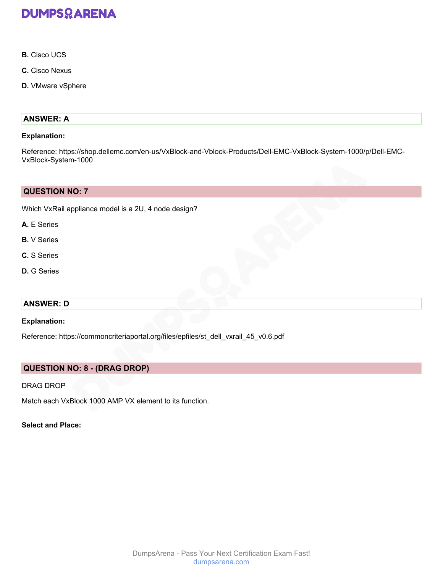

- **B.** Cisco UCS
- **C.** Cisco Nexus
- **D.** VMware vSphere

#### **ANSWER: A**

#### **Explanation:**

Reference: https://shop.dellemc.com/en-us/VxBlock-and-Vblock-Products/Dell-EMC-VxBlock-System-1000/p/Dell-EMC-VxBlock-System-1000

#### **QUESTION NO: 7**

Which VxRail appliance model is a 2U, 4 node design?

- **A.** E Series
- **B.** V Series
- **C.** S Series
- **D.** G Series

#### **ANSWER: D**

#### **Explanation:**

Reference: https://commoncriteriaportal.org/files/epfiles/st\_dell\_vxrail\_45\_v0.6.pdf

#### **QUESTION NO: 8 - (DRAG DROP)**

#### DRAG DROP

Match each VxBlock 1000 AMP VX element to its function.

#### **Select and Place:**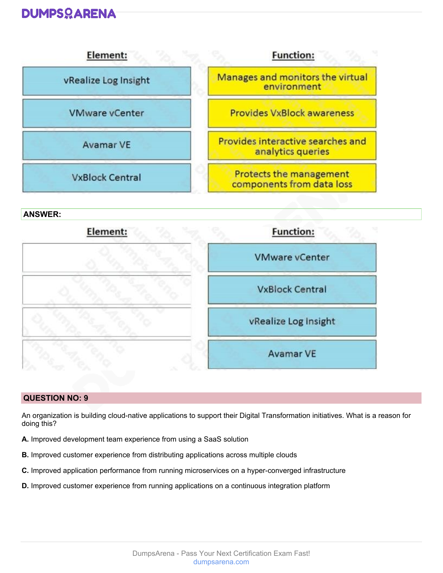### **DUMPSOARENA**



#### **QUESTION NO: 9**

An organization is building cloud-native applications to support their Digital Transformation initiatives. What is a reason for doing this?

- **A.** Improved development team experience from using a SaaS solution
- **B.** Improved customer experience from distributing applications across multiple clouds
- **C.** Improved application performance from running microservices on a hyper-converged infrastructure
- **D.** Improved customer experience from running applications on a continuous integration platform